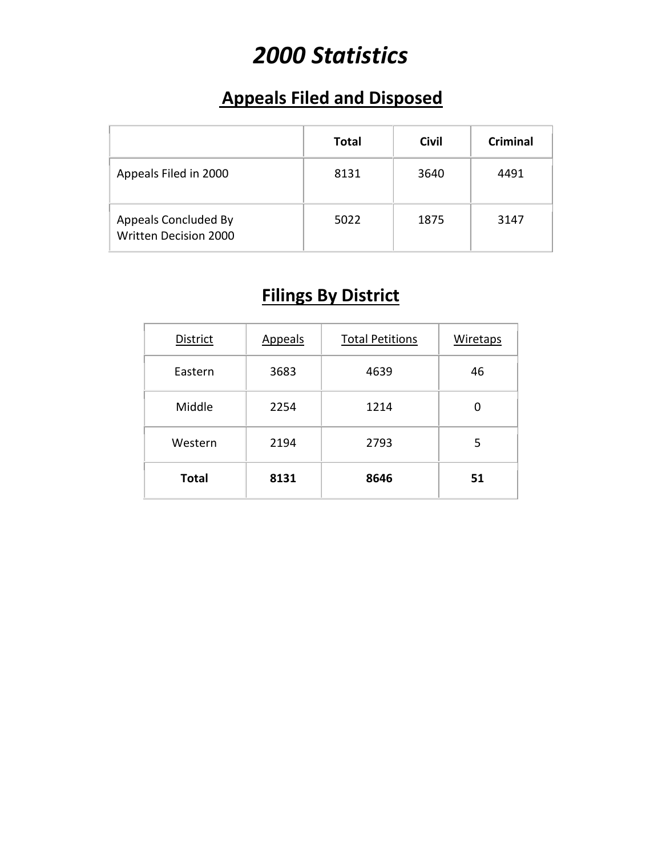# *2000 Statistics*

### **Appeals Filed and Disposed**

|                                                      | Total | <b>Civil</b> | <b>Criminal</b> |
|------------------------------------------------------|-------|--------------|-----------------|
| Appeals Filed in 2000                                | 8131  | 3640         | 4491            |
| Appeals Concluded By<br><b>Written Decision 2000</b> | 5022  | 1875         | 3147            |

## **Filings By District**

| District     | Appeals | <b>Total Petitions</b> | Wiretaps |
|--------------|---------|------------------------|----------|
| Eastern      | 3683    | 4639                   | 46       |
| Middle       | 2254    | 1214                   | O        |
| Western      | 2194    | 2793                   | 5        |
| <b>Total</b> | 8131    | 8646                   | 51       |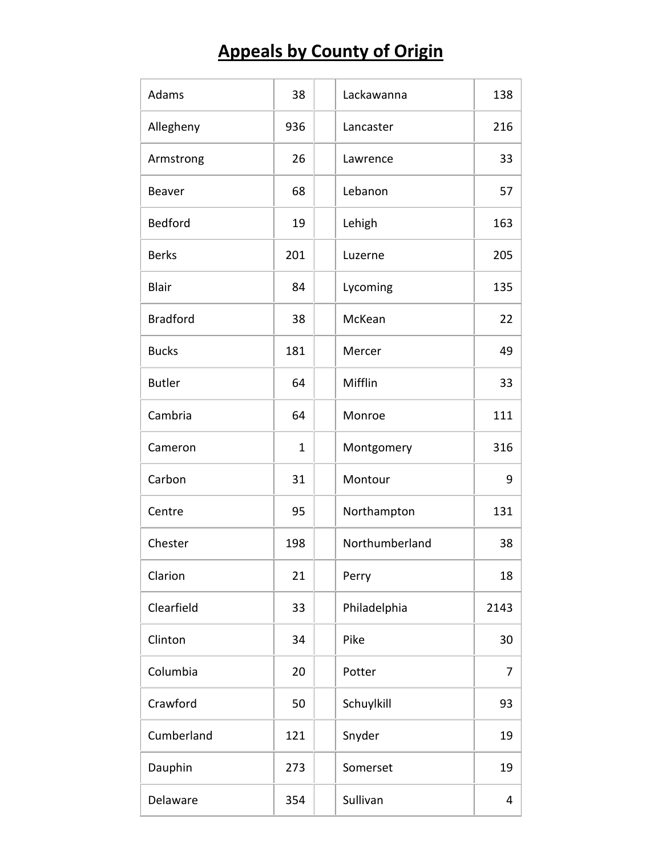# **Appeals by County of Origin**

| Adams           | 38          | Lackawanna     | 138  |
|-----------------|-------------|----------------|------|
| Allegheny       | 936         | Lancaster      | 216  |
| Armstrong       | 26          | Lawrence       | 33   |
| Beaver          | 68          | Lebanon        | 57   |
| <b>Bedford</b>  | 19          | Lehigh         | 163  |
| <b>Berks</b>    | 201         | Luzerne        | 205  |
| <b>Blair</b>    | 84          | Lycoming       | 135  |
| <b>Bradford</b> | 38          | McKean         | 22   |
| <b>Bucks</b>    | 181         | Mercer         | 49   |
| <b>Butler</b>   | 64          | Mifflin        | 33   |
| Cambria         | 64          | Monroe         | 111  |
| Cameron         | $\mathbf 1$ | Montgomery     | 316  |
| Carbon          | 31          | Montour        | 9    |
| Centre          | 95          | Northampton    | 131  |
| Chester         | 198         | Northumberland | 38   |
| Clarion         | 21          | Perry          | 18   |
| Clearfield      | 33          | Philadelphia   | 2143 |
| Clinton         | 34          | Pike           | 30   |
| Columbia        | 20          | Potter         | 7    |
| Crawford        | 50          | Schuylkill     | 93   |
| Cumberland      | 121         | Snyder         | 19   |
| Dauphin         | 273         | Somerset       | 19   |
| Delaware        | 354         | Sullivan       | 4    |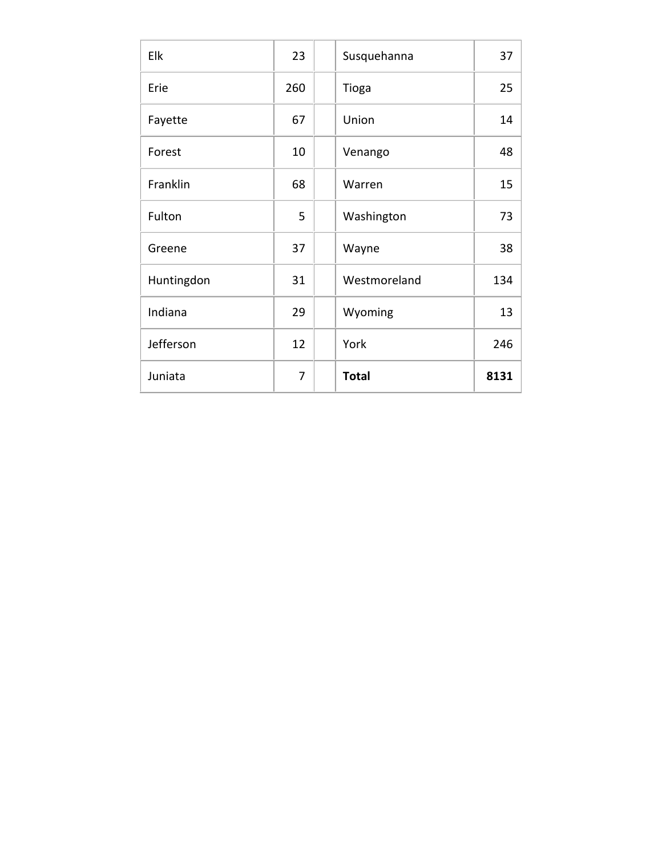| Elk        | 23  | Susquehanna  | 37   |
|------------|-----|--------------|------|
| Erie       | 260 | Tioga        | 25   |
| Fayette    | 67  | Union        | 14   |
| Forest     | 10  | Venango      | 48   |
| Franklin   | 68  | Warren       | 15   |
| Fulton     | 5   | Washington   | 73   |
| Greene     | 37  | Wayne        | 38   |
| Huntingdon | 31  | Westmoreland | 134  |
| Indiana    | 29  | Wyoming      | 13   |
| Jefferson  | 12  | York         | 246  |
| Juniata    | 7   | <b>Total</b> | 8131 |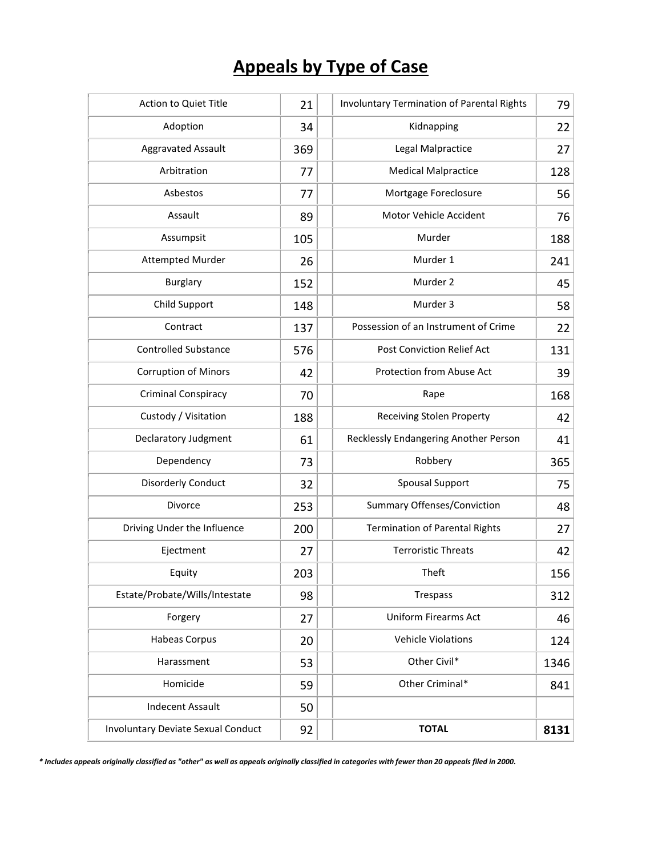## **Appeals by Type of Case**

| Action to Quiet Title                     | 21  | <b>Involuntary Termination of Parental Rights</b> | 79   |
|-------------------------------------------|-----|---------------------------------------------------|------|
| Adoption                                  | 34  | Kidnapping                                        | 22   |
| <b>Aggravated Assault</b>                 | 369 | Legal Malpractice                                 | 27   |
| Arbitration                               | 77  | <b>Medical Malpractice</b>                        | 128  |
| Asbestos                                  | 77  | Mortgage Foreclosure                              | 56   |
| Assault                                   | 89  | Motor Vehicle Accident                            | 76   |
| Assumpsit                                 | 105 | Murder                                            | 188  |
| <b>Attempted Murder</b>                   | 26  | Murder 1                                          | 241  |
| <b>Burglary</b>                           | 152 | Murder 2                                          | 45   |
| Child Support                             | 148 | Murder 3                                          | 58   |
| Contract                                  | 137 | Possession of an Instrument of Crime              | 22   |
| <b>Controlled Substance</b>               | 576 | Post Conviction Relief Act                        | 131  |
| <b>Corruption of Minors</b>               | 42  | Protection from Abuse Act                         | 39   |
| <b>Criminal Conspiracy</b>                | 70  | Rape                                              | 168  |
| Custody / Visitation                      | 188 | <b>Receiving Stolen Property</b>                  | 42   |
| Declaratory Judgment                      | 61  | Recklessly Endangering Another Person             | 41   |
| Dependency                                | 73  | Robbery                                           | 365  |
| Disorderly Conduct                        | 32  | <b>Spousal Support</b>                            | 75   |
| Divorce                                   | 253 | <b>Summary Offenses/Conviction</b>                | 48   |
| Driving Under the Influence               | 200 | <b>Termination of Parental Rights</b>             | 27   |
| Ejectment                                 | 27  | <b>Terroristic Threats</b>                        | 42   |
| Equity                                    | 203 | Theft                                             | 156  |
| Estate/Probate/Wills/Intestate            | 98  | Trespass                                          | 312  |
| Forgery                                   | 27  | <b>Uniform Firearms Act</b>                       | 46   |
| Habeas Corpus                             | 20  | Vehicle Violations                                | 124  |
| Harassment                                | 53  | Other Civil*                                      | 1346 |
| Homicide                                  | 59  | Other Criminal*                                   | 841  |
| <b>Indecent Assault</b>                   | 50  |                                                   |      |
| <b>Involuntary Deviate Sexual Conduct</b> | 92  | <b>TOTAL</b>                                      | 8131 |

*\* Includes appeals originally classified as "other" as well as appeals originally classified in categories with fewer than 20 appeals filed in 2000.*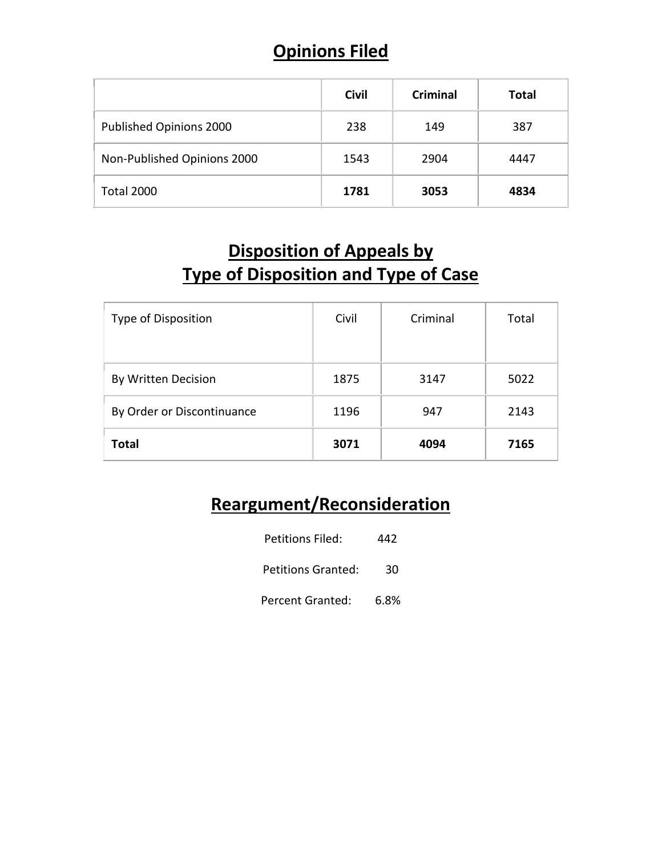#### **Opinions Filed**

|                             | <b>Civil</b> | <b>Criminal</b> | <b>Total</b> |
|-----------------------------|--------------|-----------------|--------------|
| Published Opinions 2000     | 238          | 149             | 387          |
| Non-Published Opinions 2000 | 1543         | 2904            | 4447         |
| <b>Total 2000</b>           | 1781         | 3053            | 4834         |

### **Disposition of Appeals by Type of Disposition and Type of Case**

| Type of Disposition        | Civil | Criminal | Total |
|----------------------------|-------|----------|-------|
| By Written Decision        | 1875  | 3147     | 5022  |
| By Order or Discontinuance | 1196  | 947      | 2143  |
| <b>Total</b>               | 3071  | 4094     | 7165  |

### **Reargument/Reconsideration**

| Petitions Filed:        | 442  |
|-------------------------|------|
| Petitions Granted:      | 30   |
| <b>Percent Granted:</b> | 6.8% |